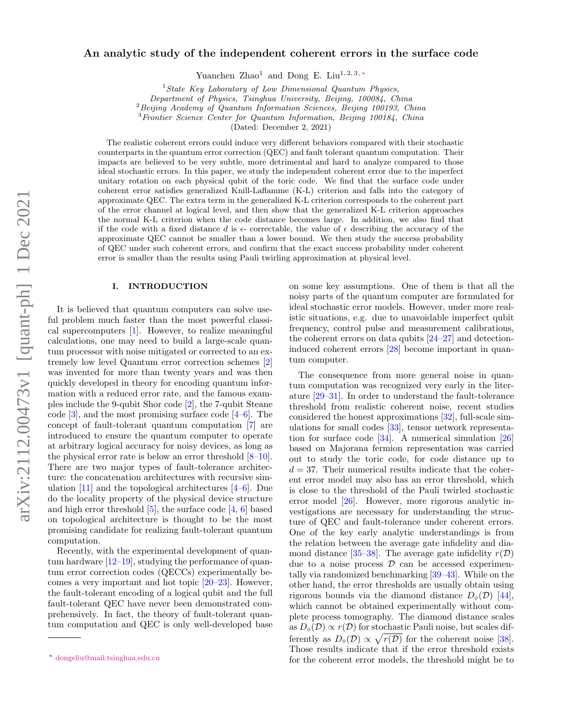# arXiv:2112.00473v1 [quant-ph] 1 Dec 2021 arXiv:2112.00473v1 [quant-ph] 1 Dec 2021

# An analytic study of the independent coherent errors in the surface code

Yuanchen Zhao<sup>1</sup> and Dong E. Liu<sup>1, 2, 3, \*</sup>

<sup>1</sup> State Key Laboratory of Low Dimensional Quantum Physics,

Department of Physics, Tsinghua University, Beijing, 100084, China

 ${}^{2}Beijing$  Academy of Quantum Information Sciences, Beijing 100193, China

<sup>3</sup>Frontier Science Center for Quantum Information, Beijing 100184, China

(Dated: December 2, 2021)

The realistic coherent errors could induce very different behaviors compared with their stochastic counterparts in the quantum error correction (QEC) and fault tolerant quantum computation. Their impacts are believed to be very subtle, more detrimental and hard to analyze compared to those ideal stochastic errors. In this paper, we study the independent coherent error due to the imperfect unitary rotation on each physical qubit of the toric code. We find that the surface code under coherent error satisfies generalized Knill-Laflamme (K-L) criterion and falls into the category of approximate QEC. The extra term in the generalized K-L criterion corresponds to the coherent part of the error channel at logical level, and then show that the generalized K-L criterion approaches the normal K-L criterion when the code distance becomes large. In addition, we also find that if the code with a fixed distance d is  $\epsilon$ - correctable, the value of  $\epsilon$  describing the accuracy of the approximate QEC cannot be smaller than a lower bound. We then study the success probability of QEC under such coherent errors, and confirm that the exact success probability under coherent error is smaller than the results using Pauli twirling approximation at physical level.

### I. INTRODUCTION

It is believed that quantum computers can solve useful problem much faster than the most powerful classical supercomputers [\[1\]](#page-14-0). However, to realize meaningful calculations, one may need to build a large-scale quantum processor with noise mitigated or corrected to an extremely low level Quantum error correction schemes [\[2\]](#page-14-1) was invented for more than twenty years and was then quickly developed in theory for encoding quantum information with a reduced error rate, and the famous examples include the 9-qubit Shor code [\[2\]](#page-14-1), the 7-qubit Steane code  $[3]$ , and the most promising surface code  $[4-6]$  $[4-6]$ . The concept of fault-tolerant quantum computation [\[7\]](#page-14-5) are introduced to ensure the quantum computer to operate at arbitrary logical accuracy for noisy devices, as long as the physical error rate is below an error threshold [\[8–](#page-14-6)[10\]](#page-14-7). There are two major types of fault-tolerance architecture: the concatenation architectures with recursive simulation [\[11\]](#page-14-8) and the topological architectures [\[4](#page-14-3)[–6\]](#page-14-4). Due do the locality property of the physical device structure and high error threshold  $[5]$ , the surface code  $[4, 6]$  $[4, 6]$  $[4, 6]$  based on topological architecture is thought to be the most promising candidate for realizing fault-tolerant quantum computation.

Recently, with the experimental development of quantum hardware [\[12](#page-14-10)[–19\]](#page-14-11), studying the performance of quantum error correction codes (QECCs) experimentally becomes a very important and hot topic [\[20–](#page-14-12)[23\]](#page-14-13). However, the fault-tolerant encoding of a logical qubit and the full fault-tolerant QEC have never been demonstrated comprehensively. In fact, the theory of fault-tolerant quantum computation and QEC is only well-developed base on some key assumptions. One of them is that all the noisy parts of the quantum computer are formulated for ideal stochastic error models. However, under more realistic situations, e.g. due to unavoidable imperfect qubit frequency, control pulse and measurement calibrations, the coherent errors on data qubits [\[24–](#page-14-14)[27\]](#page-14-15) and detectioninduced coherent errors [\[28\]](#page-14-16) become important in quantum computer.

The consequence from more general noise in quantum computation was recognized very early in the literature [\[29–](#page-14-17)[31\]](#page-14-18). In order to understand the fault-tolerance threshold from realistic coherent noise, recent studies considered the honest approximations [\[32\]](#page-14-19), full-scale simulations for small codes [\[33\]](#page-14-20), tensor network representation for surface code [\[34\]](#page-14-21). A numerical simulation [\[26\]](#page-14-22) based on Majorana fermion representation was carried out to study the toric code, for code distance up to  $d = 37$ . Their numerical results indicate that the coherent error model may also has an error threshold, which is close to the threshold of the Pauli twirled stochastic error model [\[26\]](#page-14-22). However, more rigorous analytic investigations are necessary for understanding the structure of QEC and fault-tolerance under coherent errors. One of the key early analytic understandings is from the relation between the average gate infidelity and dia-mond distance [\[35–](#page-14-23)[38\]](#page-14-24). The average gate infidelity  $r(\mathcal{D})$ ] due to a noise process  $\mathcal D$  can be accessed experimentally via randomized benchmarking [\[39–](#page-14-25)[43\]](#page-14-26). While on the other hand, the error thresholds are usually obtain using rigorous bounds via the diamond distance  $D_{\diamond}(\mathcal{D})$  [\[44\]](#page-14-27), which cannot be obtained experimentally without complete process tomography. The diamond distance scales as  $D_{\alpha}(\mathcal{D}) \propto r(\mathcal{D})$  for stochastic Pauli noise, but scales differently as  $D_{\diamond}(\mathcal{D}) \propto \sqrt{r(\mathcal{D})}$  for the coherent noise [\[38\]](#page-14-24). Those results indicate that if the error threshold exists for the coherent error models, the threshold might be to

<span id="page-0-0"></span><sup>∗</sup> [dongeliu@mail.tsinghua.edu.cn](mailto:dongeliu@mail.tsinghua.edu.cn)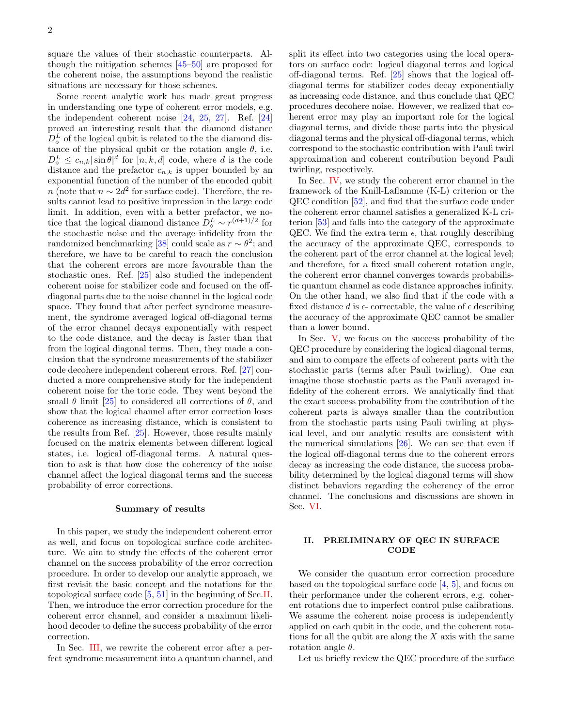square the values of their stochastic counterparts. Although the mitigation schemes [\[45–](#page-14-28)[50\]](#page-14-29) are proposed for the coherent noise, the assumptions beyond the realistic situations are necessary for those schemes.

Some recent analytic work has made great progress in understanding one type of coherent error models, e.g. the independent coherent noise [\[24,](#page-14-14) [25,](#page-14-30) [27\]](#page-14-15). Ref. [\[24\]](#page-14-14) proved an interesting result that the diamond distance  $D_{\diamond}^{L}$  of the logical qubit is related to the the diamond distance of the physical qubit or the rotation angle  $\theta$ , i.e.  $D_{\diamond}^{L} \leq c_{n,k} |\sin \theta|^{d}$  for  $[n, k, d]$  code, where d is the code distance and the prefactor  $c_{n,k}$  is upper bounded by an exponential function of the number of the encoded qubit n (note that  $n \sim 2d^2$  for surface code). Therefore, the results cannot lead to positive impression in the large code limit. In addition, even with a better prefactor, we notice that the logical diamond distance  $D_{\diamond}^L \sim r^{(d+1)/2}$  for the stochastic noise and the average infidelity from the randomized benchmarking [\[38\]](#page-14-24) could scale as  $r \sim \theta^2$ ; and therefore, we have to be careful to reach the conclusion that the coherent errors are more favourable than the stochastic ones. Ref. [\[25\]](#page-14-30) also studied the independent coherent noise for stabilizer code and focused on the offdiagonal parts due to the noise channel in the logical code space. They found that after perfect syndrome measurement, the syndrome averaged logical off-diagonal terms of the error channel decays exponentially with respect to the code distance, and the decay is faster than that from the logical diagonal terms. Then, they made a conclusion that the syndrome measurements of the stabilizer code decohere independent coherent errors. Ref. [\[27\]](#page-14-15) conducted a more comprehensive study for the independent coherent noise for the toric code. They went beyond the small  $\theta$  limit [\[25\]](#page-14-30) to considered all corrections of  $\theta$ , and show that the logical channel after error correction loses coherence as increasing distance, which is consistent to the results from Ref. [\[25\]](#page-14-30). However, those results mainly focused on the matrix elements between different logical states, i.e. logical off-diagonal terms. A natural question to ask is that how dose the coherency of the noise channel affect the logical diagonal terms and the success probability of error corrections.

### Summary of results

In this paper, we study the independent coherent error as well, and focus on topological surface code architecture. We aim to study the effects of the coherent error channel on the success probability of the error correction procedure. In order to develop our analytic approach, we first revisit the basic concept and the notations for the topological surface code [\[5,](#page-14-9) [51\]](#page-14-31) in the beginning of Sec[.II.](#page-1-0) Then, we introduce the error correction procedure for the coherent error channel, and consider a maximum likelihood decoder to define the success probability of the error correction.

In Sec. [III,](#page-4-0) we rewrite the coherent error after a perfect syndrome measurement into a quantum channel, and split its effect into two categories using the local operators on surface code: logical diagonal terms and logical off-diagonal terms. Ref. [\[25\]](#page-14-30) shows that the logical offdiagonal terms for stabilizer codes decay exponentially as increasing code distance, and thus conclude that QEC procedures decohere noise. However, we realized that coherent error may play an important role for the logical diagonal terms, and divide those parts into the physical diagonal terms and the physical off-diagonal terms, which correspond to the stochastic contribution with Pauli twirl approximation and coherent contribution beyond Pauli twirling, respectively.

In Sec. [IV,](#page-5-0) we study the coherent error channel in the framework of the Knill-Laflamme (K-L) criterion or the QEC condition [\[52\]](#page-14-32), and find that the surface code under the coherent error channel satisfies a generalized K-L criterion [\[53\]](#page-14-33) and falls into the category of the approximate QEC. We find the extra term  $\epsilon$ , that roughly describing the accuracy of the approximate QEC, corresponds to the coherent part of the error channel at the logical level; and therefore, for a fixed small coherent rotation angle, the coherent error channel converges towards probabilistic quantum channel as code distance approaches infinity. On the other hand, we also find that if the code with a fixed distance d is  $\epsilon$ - correctable, the value of  $\epsilon$  describing the accuracy of the approximate QEC cannot be smaller than a lower bound.

In Sec. [V,](#page-8-0) we focus on the success probability of the QEC procedure by considering the logical diagonal terms, and aim to compare the effects of coherent parts with the stochastic parts (terms after Pauli twirling). One can imagine those stochastic parts as the Pauli averaged infidelity of the coherent errors. We analytically find that the exact success probability from the contribution of the coherent parts is always smaller than the contribution from the stochastic parts using Pauli twirling at physical level, and our analytic results are consistent with the numerical simulations [\[26\]](#page-14-22). We can see that even if the logical off-diagonal terms due to the coherent errors decay as increasing the code distance, the success probability determined by the logical diagonal terms will show distinct behaviors regarding the coherency of the error channel. The conclusions and discussions are shown in Sec. [VI.](#page-11-0)

# <span id="page-1-0"></span>II. PRELIMINARY OF QEC IN SURFACE **CODE**

We consider the quantum error correction procedure based on the topological surface code  $[4, 5]$  $[4, 5]$  $[4, 5]$ , and focus on their performance under the coherent errors, e.g. coherent rotations due to imperfect control pulse calibrations. We assume the coherent noise process is independently applied on each qubit in the code, and the coherent rotations for all the qubit are along the  $X$  axis with the same rotation angle  $\theta$ .

Let us briefly review the QEC procedure of the surface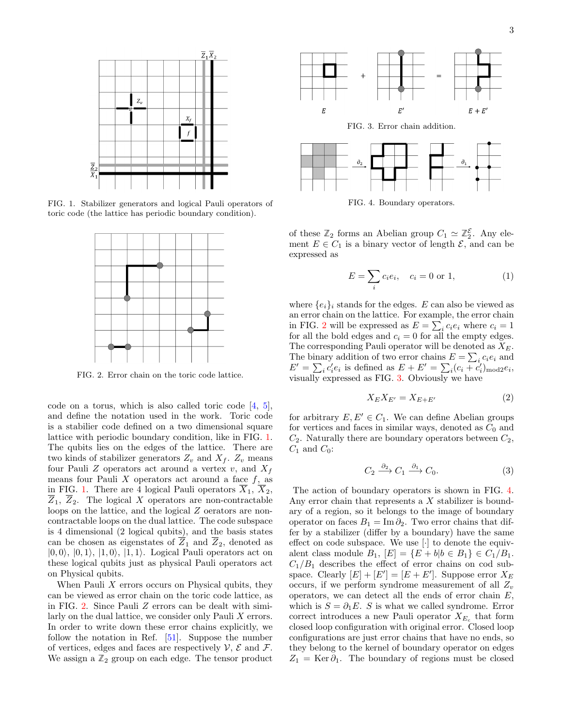

<span id="page-2-0"></span>FIG. 1. Stabilizer generators and logical Pauli operators of toric code (the lattice has periodic boundary condition).



<span id="page-2-1"></span>FIG. 2. Error chain on the toric code lattice.

code on a torus, which is also called toric code [\[4,](#page-14-3) [5\]](#page-14-9), and define the notation used in the work. Toric code is a stabilier code defined on a two dimensional square lattice with periodic boundary condition, like in FIG. [1.](#page-2-0) The qubits lies on the edges of the lattice. There are two kinds of stabilizer generators  $Z_v$  and  $X_f$ .  $Z_v$  means four Pauli Z operators act around a vertex  $v$ , and  $X_f$ means four Pauli  $X$  operators act around a face  $f$ , as in FIG. [1.](#page-2-0) There are 4 logical Pauli operators  $\overline{X}_1$ ,  $\overline{X}_2$ ,  $Z_1, Z_2$ . The logical X operators are non-contractable loops on the lattice, and the logical Z oerators are noncontractable loops on the dual lattice. The code subspace is 4 dimensional (2 logical qubits), and the basis states can be chosen as eigenstates of  $\overline{Z}_1$  and  $\overline{Z}_2$ , denoted as  $|0, 0\rangle$ ,  $|0, 1\rangle$ ,  $|1, 0\rangle$ ,  $|1, 1\rangle$ . Logical Pauli operators act on these logical qubits just as physical Pauli operators act on Physical qubits.

When Pauli  $X$  errors occurs on Physical qubits, they can be viewed as error chain on the toric code lattice, as in FIG. [2.](#page-2-1) Since Pauli Z errors can be dealt with similarly on the dual lattice, we consider only Pauli X errors. In order to write down these error chains explicitly, we follow the notation in Ref. [\[51\]](#page-14-31). Suppose the number of vertices, edges and faces are respectively  $\mathcal{V}, \mathcal{E}$  and  $\mathcal{F}.$ We assign a  $\mathbb{Z}_2$  group on each edge. The tensor product

<span id="page-2-2"></span>

FIG. 4. Boundary operators.

<span id="page-2-3"></span>of these  $\mathbb{Z}_2$  forms an Abelian group  $C_1 \simeq \mathbb{Z}_2^{\mathcal{E}}$ . Any element  $E \in C_1$  is a binary vector of length  $\mathcal{E}$ , and can be expressed as

$$
E = \sum_{i} c_i e_i, \quad c_i = 0 \text{ or } 1,
$$
 (1)

where  ${e_i}_i$  stands for the edges. E can also be viewed as an error chain on the lattice. For example, the error chain in FIG. [2](#page-2-1) will be expressed as  $E = \sum_i c_i e_i$  where  $c_i = 1$ for all the bold edges and  $c_i = 0$  for all the empty edges. The corresponding Pauli operator will be denoted as  $X_E$ . The binary addition of two error chains  $E = \sum_i c_i e_i$  and  $E' = \sum_i c'_i e_i$  is defined as  $E + E' = \sum_i (c_i + c'_i)_{\text{mod }2} e_i$ , visually expressed as FIG. [3.](#page-2-2) Obviously we have

$$
X_E X_{E'} = X_{E+E'}
$$
 (2)

for arbitrary  $E, E' \in C_1$ . We can define Abelian groups for vertices and faces in similar ways, denoted as  $C_0$  and  $C_2$ . Naturally there are boundary operators between  $C_2$ ,  $C_1$  and  $C_0$ :

$$
C_2 \xrightarrow{\partial_2} C_1 \xrightarrow{\partial_1} C_0. \tag{3}
$$

The action of boundary operators is shown in FIG. [4.](#page-2-3) Any error chain that represents a X stabilizer is boundary of a region, so it belongs to the image of boundary operator on faces  $B_1 = \text{Im } \partial_2$ . Two error chains that differ by a stabilizer (differ by a boundary) have the same effect on code subspace. We use [·] to denote the equivalent class module  $B_1$ ,  $[E] = \{E + b | b \in B_1\} \in C_1/B_1$ .  $C_1/B_1$  describes the effect of error chains on cod subspace. Clearly  $[E] + [E'] = [E + E']$ . Suppose error  $X_E$ occurs, if we perform syndrome measurement of all  $Z_v$ operators, we can detect all the ends of error chain  $E$ , which is  $S = \partial_1 E$ . S is what we called syndrome. Error correct introduces a new Pauli operator  $X_{E_c}$  that form closed loop configuration with original error. Closed loop configurations are just error chains that have no ends, so they belong to the kernel of boundary operator on edges  $Z_1 = \text{Ker }\partial_1$ . The boundary of regions must be closed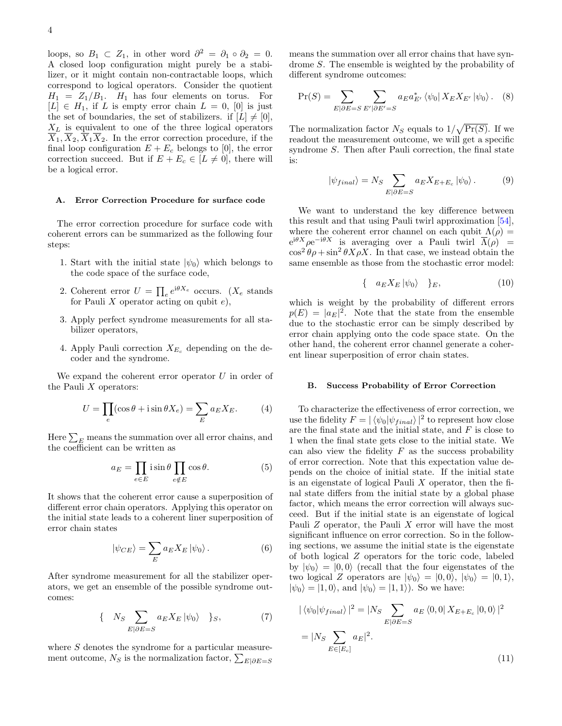loops, so  $B_1 \subset Z_1$ , in other word  $\partial^2 = \partial_1 \circ \partial_2 = 0$ . A closed loop configuration might purely be a stabilizer, or it might contain non-contractable loops, which correspond to logical operators. Consider the quotient  $H_1 = Z_1/B_1$ .  $H_1$  has four elements on torus. For  $[L] \in H_1$ , if L is empty error chain  $L = 0$ , [0] is just the set of boundaries, the set of stabilizers. if  $[L] \neq [0],$  $X_L$  is equivalent to one of the three logical operators  $\overline{X}_1, \overline{X}_2, \overline{X}_1\overline{X}_2$ . In the error correction procedure, if the final loop configuration  $E + E_c$  belongs to [0], the error correction succeed. But if  $E + E_c \in [L \neq 0]$ , there will be a logical error.

### A. Error Correction Procedure for surface code

The error correction procedure for surface code with coherent errors can be summarized as the following four steps:

- 1. Start with the initial state  $|\psi_0\rangle$  which belongs to the code space of the surface code,
- 2. Coherent error  $U = \prod_e e^{i\theta X_e}$  occurs. ( $X_e$  stands for Pauli  $X$  operator acting on qubit  $e$ ),
- 3. Apply perfect syndrome measurements for all stabilizer operators,
- 4. Apply Pauli correction  $X_{E_c}$  depending on the decoder and the syndrome.

We expand the coherent error operator  $U$  in order of the Pauli  $X$  operators:

<span id="page-3-0"></span>
$$
U = \prod_{e} (\cos \theta + i \sin \theta X_e) = \sum_{E} a_E X_E.
$$
 (4)

Here  $\sum_E$  means the summation over all error chains, and the coefficient can be written as

$$
a_E = \prod_{e \in E} i \sin \theta \prod_{e \notin E} \cos \theta.
$$
 (5)

It shows that the coherent error cause a superposition of different error chain operators. Applying this operator on the initial state leads to a coherent liner superposition of error chain states

$$
|\psi_{CE}\rangle = \sum_{E} a_E X_E |\psi_0\rangle.
$$
 (6)

After syndrome measurement for all the stabilizer operators, we get an ensemble of the possible syndrome outcomes:

<span id="page-3-1"></span>
$$
\{ N_S \sum_{E|\partial E = S} a_E X_E |\psi_0\rangle \} S, \tag{7}
$$

where  $S$  denotes the syndrome for a particular measurement outcome,  $N_S$  is the normalization factor,  $\sum_{E|\partial E=S}$ 

means the summation over all error chains that have syndrome S. The ensemble is weighted by the probability of different syndrome outcomes:

<span id="page-3-2"></span>
$$
\Pr(S) = \sum_{E|\partial E = S} \sum_{E'|\partial E' = S} a_E a_{E'}^* \langle \psi_0 | X_E X_{E'} | \psi_0 \rangle. \tag{8}
$$

The normalization factor  $N_S$  equals to  $1/\sqrt{\Pr(S)}$ . If we readout the measurement outcome, we will get a specific syndrome S. Then after Pauli correction, the final state is:

$$
|\psi_{final}\rangle = N_S \sum_{E|\partial E=S} a_E X_{E+E_c} |\psi_0\rangle.
$$
 (9)

We want to understand the key difference between this result and that using Pauli twirl approximation [\[54\]](#page-14-34), where the coherent error channel on each qubit  $\Lambda(\rho)$  =  $e^{i\theta X} \rho e^{-i\theta X}$  is averaging over a Pauli twirl  $\overline{\Lambda}(\rho)$  =  $\cos^2 \theta \rho + \sin^2 \theta X \rho X$ . In that case, we instead obtain the same ensemble as those from the stochastic error model:

$$
\{ a_E X_E |\psi_0\rangle \} _E, \tag{10}
$$

which is weight by the probability of different errors  $p(E) = |a_E|^2$ . Note that the state from the ensemble due to the stochastic error can be simply described by error chain applying onto the code space state. On the other hand, the coherent error channel generate a coherent linear superposition of error chain states.

### <span id="page-3-3"></span>B. Success Probability of Error Correction

To characterize the effectiveness of error correction, we use the fidelity  $F = |\langle \psi_0 | \psi_{final} \rangle|^2$  to represent how close are the final state and the initial state, and  $F$  is close to 1 when the final state gets close to the initial state. We can also view the fidelity  $F$  as the success probability of error correction. Note that this expectation value depends on the choice of initial state. If the initial state is an eigenstate of logical Pauli  $X$  operator, then the final state differs from the initial state by a global phase factor, which means the error correction will always succeed. But if the initial state is an eigenstate of logical Pauli Z operator, the Pauli X error will have the most significant influence on error correction. So in the following sections, we assume the initial state is the eigenstate of both logical Z operators for the toric code, labeled by  $|\psi_0\rangle = |0,0\rangle$  (recall that the four eigenstates of the two logical Z operators are  $|\psi_0\rangle = |0,0\rangle, |\psi_0\rangle = |0,1\rangle,$  $|\psi_0\rangle = |1,0\rangle$ , and  $|\psi_0\rangle = |1,1\rangle$ ). So we have:

$$
|\langle \psi_0 | \psi_{final} \rangle|^2 = |N_S \sum_{E | \partial E = S} a_E \langle 0, 0 | X_{E + E_c} | 0, 0 \rangle|^2
$$
  
=  $|N_S \sum_{E \in [E_c]} a_E|^2$ . (11)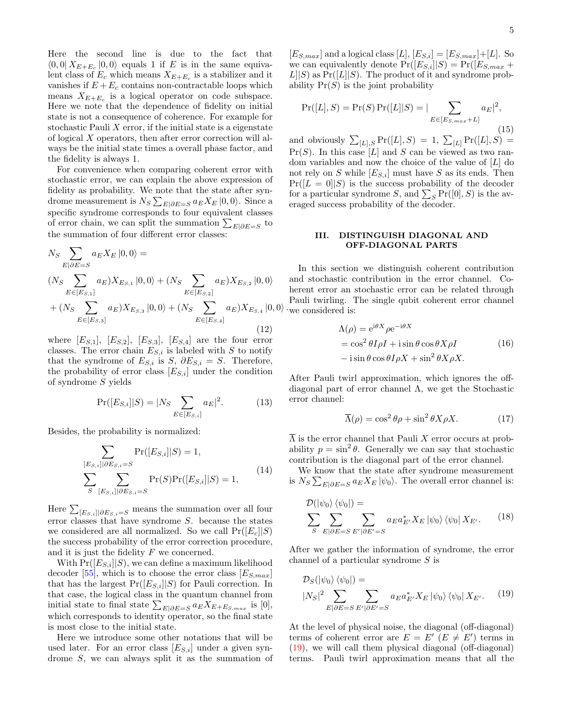Here the second line is due to the fact that  $\langle 0,0| X_{E+E_c} |0,0 \rangle$  equals 1 if E is in the same equivalent class of  $E_c$  which means  $X_{E+E_c}$  is a stabilizer and it vanishes if  $E + E_c$  contains non-contractable loops which means  $X_{E+E_c}$  is a logical operator on code subspace. Here we note that the dependence of fidelity on initial state is not a consequence of coherence. For example for stochastic Pauli  $X$  error, if the initial state is a eigenstate of logical X operators, then after error correction will always be the initial state times a overall phase factor, and the fidelity is always 1.

For convenience when comparing coherent error with stochastic error, we can explain the above expression of fidelity as probability. We note that the state after syndrome measurement is  $N_S \sum_{E|\partial E=S} a_E X_E |0,0\rangle$ . Since a specific syndrome corresponds to four equivalent classes of error chain, we can split the summation  $\sum_{E|\partial E=S}$  to the summation of four different error classes:

$$
N_S \sum_{E|\partial E=S} a_E X_E |0,0\rangle =
$$
  
\n
$$
(N_S \sum_{E \in [E_{S,1}]} a_E) X_{E_{S,1}} |0,0\rangle + (N_S \sum_{E \in [E_{S,2}]} a_E) X_{E_{S,2}} |0,0\rangle
$$
  
\n
$$
+ (N_S \sum_{E \in [E_{S,3}]} a_E) X_{E_{S,3}} |0,0\rangle + (N_S \sum_{E \in [E_{S,4}]} a_E) X_{E_{S,4}} |0,0\rangle
$$
\n(12)

where  $[E_{S,1}], [E_{S,2}], [E_{S,3}], [E_{S,4}]$  are the four error classes. The error chain  $E_{S,i}$  is labeled with S to notify that the syndrome of  $E_{S,i}$  is S,  $\partial E_{S,i} = S$ . Therefore, the probability of error class  $[E_{S,i}]$  under the condition of syndrome S yields

$$
Pr([E_{S,i}||S) = |N_S \sum_{E \in [E_{S,i}]} a_E|^2.
$$
 (13)

Besides, the probability is normalized:

$$
\sum_{[E_{S,i}]|\partial E_{S,i}=S} \Pr([E_{S,i}]|S) = 1,
$$
\n
$$
\sum_{S} \sum_{[E_{S,i}]|\partial E_{S,i}=S} \Pr(S) \Pr([E_{S,i}]|S) = 1,
$$
\n(14)

Here  $\sum_{[E_{S,i}]|\partial E_{S,i}=S}$  means the summation over all four error classes that have syndrome S. because the states we considered are all normalized. So we call  $Pr([E_c||S)]$ the success probability of the error correction procedure, and it is just the fidelity  $F$  we concerned.

With  $Pr([E_{S,i}||S],$  we can define a maximum likelihood decoder [\[55\]](#page-14-35), which is to choose the error class  $[E_{S,max}]$ that has the largest  $Pr([E_{S,i}]|S)$  for Pauli correction. In that case, the logical class in the quantum channel from initial state to final state  $\sum_{E|\partial E=S} a_E X_{E+E_{S,max}}$  is [0], which corresponds to identity operator, so the final state is most close to the initial state.

Here we introduce some other notations that will be used later. For an error class  $[E_{S,i}]$  under a given syndrome S, we can always split it as the summation of

 $[E_{S,max}]$  and a logical class  $[L], [E_{S,i}] = [E_{S,max}] + [L].$  So we can equivalently denote  $Pr([E_{S,i}||S) = Pr([E_{S,max} +$  $L||S$  as  $Pr([L||S)$ . The product of it and syndrome probability  $Pr(S)$  is the joint probability

$$
Pr([L], S) = Pr(S) Pr([L]|S) = |\sum_{E \in [E_{S, max} + L]} a_E|^2,
$$
\n(15)

and obviously  $\sum_{[L],S} \Pr([L], S) = 1$ ,  $\sum_{[L]} \Pr([L], S) =$  $Pr(S)$ . In this case [L] and S can be viewed as two random variables and now the choice of the value of [L] do not rely on S while  $[E_{S,i}]$  must have S as its ends. Then  $Pr([L = 0|S)$  is the success probability of the decoder for a particular syndrome S, and  $\sum_{S} \Pr([0], S)$  is the averaged success probability of the decoder.

## <span id="page-4-0"></span>III. DISTINGUISH DIAGONAL AND OFF-DIAGONAL PARTS

 $|0,0\rangle$  we considered is: In this section we distinguish coherent contribution and stochastic contribution in the error channel. Coherent error an stochastic error can be related through Pauli twirling. The single qubit coherent error channel

$$
\Lambda(\rho) = e^{i\theta X} \rho e^{-i\theta X}
$$
  
=  $\cos^2 \theta I \rho I + i \sin \theta \cos \theta X \rho I$  (16)  
-  $i \sin \theta \cos \theta I \rho X + \sin^2 \theta X \rho X$ .

After Pauli twirl approximation, which ignores the offdiagonal part of error channel  $\Lambda$ , we get the Stochastic error channel:

$$
\overline{\Lambda}(\rho) = \cos^2 \theta \rho + \sin^2 \theta X \rho X. \tag{17}
$$

 $\overline{\Lambda}$  is the error channel that Pauli X error occurs at probability  $p = \sin^2 \theta$ . Generally we can say that stochastic contribution is the diagonal part of the error channel.

We know that the state after syndrome measurement is  $N_S \sum_{E|\partial E=S} a_E X_E |\psi_0\rangle$ . The overall error channel is:

$$
\mathcal{D}(|\psi_0\rangle \langle \psi_0|) =
$$
\n
$$
\sum_{S} \sum_{E|\partial E=S} \sum_{E'|\partial E'=S} a_E a_{E'}^* X_E |\psi_0\rangle \langle \psi_0| X_{E'}.
$$
\n(18)

After we gather the information of syndrome, the error channel of a particular syndrome S is

<span id="page-4-1"></span>
$$
\mathcal{D}_S(\ket{\psi_0}\bra{\psi_0}) = \newline |\!\!\! N_S|^2 \sum_{E|\partial E = S} \sum_{E'|\partial E' = S} a_E a_{E'}^* X_E \ket{\psi_0}\bra{\psi_0} X_{E'}.
$$
 (19)

At the level of physical noise, the diagonal (off-diagonal) terms of coherent error are  $E = E' (E \neq E')$  terms in [\(19\)](#page-4-1), we will call them physical diagonal (off-diagonal) terms. Pauli twirl approximation means that all the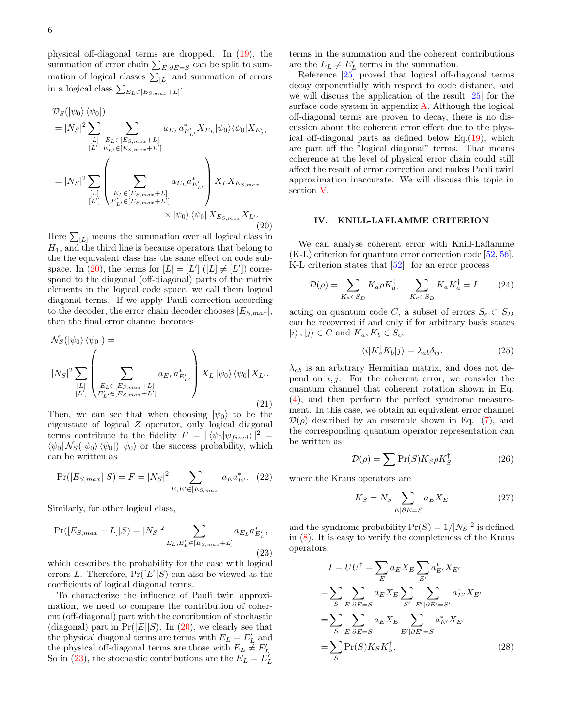physical off-diagonal terms are dropped. In [\(19\)](#page-4-1), the summation of error chain  $\sum_{E|\partial E=S}$  can be split to summation of logical classes  $\sum_{[L]}$  and summation of errors in a logical class  $\sum_{E_L \in [E_{S,max} + L]}$ :

<span id="page-5-1"></span>
$$
\mathcal{D}_{S}(|\psi_{0}\rangle\langle\psi_{0}|)\n=|N_{S}|^{2}\sum_{[L]}\sum_{E_{L}\in[E_{S,max}+L]}a_{E_{L}}a_{E'_{L'}}^{*}X_{E_{L}}|\psi_{0}\rangle\langle\psi_{0}|X_{E'_{L'}}\n\left[E'\right]E'_{L'}\in[E_{S,max}+L']\n=\left|N_{S}\right|^{2}\sum_{[L]}\left(\sum_{E_{L}\in[E_{S,max}+L]}a_{E_{L}}a_{E'_{L'}}^{*}\right)X_{L}X_{E_{S,max}}\n\left[E'\right]E'_{L'}\in[E_{S,max}+L']\n\times|\psi_{0}\rangle\langle\psi_{0}|X_{E_{S,max}}X_{L'}.\n\tag{20}
$$

Here  $\sum_{[L]}$  means the summation over all logical class in  $H_1$ , and the third line is because operators that belong to the the equivalent class has the same effect on code sub-space. In [\(20\)](#page-5-1), the terms for  $[L] = [L']$  ( $[L] \neq [L']$ ) correspond to the diagonal (off-diagonal) parts of the matrix elements in the logical code space, we call them logical diagonal terms. If we apply Pauli correction according to the decoder, the error chain decoder chooses  $[E_{S,max}]$ , then the final error channel becomes

$$
\mathcal{N}_{S}(|\psi_{0}\rangle\langle\psi_{0}|) =
$$
\n
$$
|N_{S}|^{2} \sum_{\substack{[L] \\ [L']}} \left( \sum_{\substack{E_{L} \in [E_{S, max} + L] \\ E'_{L'} \in [E_{S, max} + L']}} a_{E_{L}} a_{E'_{L'}} \right) X_{L} |\psi_{0}\rangle\langle\psi_{0}| X_{L'}.
$$
\n(21)

Then, we can see that when choosing  $|\psi_0\rangle$  to be the eigenstate of logical Z operator, only logical diagonal terms contribute to the fidelity  $F = |\langle \psi_0 | \psi_{final} \rangle|^2 =$  $\langle \psi_0| \mathcal{N}_S(|\psi_0\rangle \langle \psi_0|)|\psi_0\rangle$  or the success probability, which can be written as

$$
\Pr([E_{S,max}]|S) = F = |N_S|^2 \sum_{E, E' \in [E_{S,max}]} a_E a_{E'}^*.
$$
 (22)

Similarly, for other logical class,

<span id="page-5-2"></span>
$$
\Pr([E_{S,max} + L]|S) = |N_S|^2 \sum_{E_L, E'_L \in [E_{S,max} + L]} a_{E_L} a_{E'_L}^*,
$$
\n(23)

which describes the probability for the case with logical errors L. Therefore,  $Pr([E||S)$  can also be viewed as the coefficients of logical diagonal terms.

To characterize the influence of Pauli twirl approximation, we need to compare the contribution of coherent (off-diagonal) part with the contribution of stochastic (diagonal) part in  $Pr([E||S)$ . In [\(20\)](#page-5-1), we clearly see that the physical diagonal terms are terms with  $E_L = E'_L$  and the physical off-diagonal terms are those with  $E_L \neq E'_L$ . So in [\(23\)](#page-5-2), the stochastic contributions are the  $E_L = \tilde{E'_L}$ 

terms in the summation and the coherent contributions are the  $E_L \neq E'_L$  terms in the summation.

Reference [\[25\]](#page-14-30) proved that logical off-diagonal terms decay exponentially with respect to code distance, and we will discuss the application of the result [\[25\]](#page-14-30) for the surface code system in appendix [A.](#page-11-1) Although the logical off-diagonal terms are proven to decay, there is no discussion about the coherent error effect due to the physical off-diagonal parts as defined below Eq.[\(19\)](#page-4-1), which are part off the "logical diagonal" terms. That means coherence at the level of physical error chain could still affect the result of error correction and makes Pauli twirl approximation inaccurate. We will discuss this topic in section [V.](#page-8-0)

### <span id="page-5-0"></span>IV. KNILL-LAFLAMME CRITERION

We can analyse coherent error with Knill-Laflamme (K-L) criterion for quantum error correction code [\[52,](#page-14-32) [56\]](#page-14-36). K-L criterion states that  $[52]$ : for an error process

$$
\mathcal{D}(\rho) = \sum_{K_a \in S_D} K_a \rho K_a^{\dagger}, \quad \sum_{K_a \in S_D} K_a K_a^{\dagger} = I \tag{24}
$$

acting on quantum code C, a subset of errors  $S_{\epsilon} \subset S_D$ can be recovered if and only if for arbitrary basis states  $|i\rangle, |j\rangle \in C$  and  $K_a, K_b \in S_\epsilon$ ,

<span id="page-5-3"></span>
$$
\langle i|K_a^{\dagger}K_b|j\rangle = \lambda_{ab}\delta_{ij}.\tag{25}
$$

 $\lambda_{ab}$  is an arbitrary Hermitian matrix, and does not depend on  $i, j$ . For the coherent error, we consider the quantum channel that coherent rotation shown in Eq. [\(4\)](#page-3-0), and then perform the perfect syndrome measurement. In this case, we obtain an equivalent error channel  $\mathcal{D}(\rho)$  described by an ensemble shown in Eq. [\(7\)](#page-3-1), and the corresponding quantum operator representation can be written as

$$
\mathcal{D}(\rho) = \sum \Pr(S) K_S \rho K_S^{\dagger} \tag{26}
$$

where the Kraus operators are

$$
K_S = N_S \sum_{E|\partial E = S} a_E X_E \tag{27}
$$

and the syndrome probability  $Pr(S) = 1/|N_S|^2$  is defined in [\(8\)](#page-3-2). It is easy to verify the completeness of the Kraus operators:

$$
I = UU^{\dagger} = \sum_{E} a_{E} X_{E} \sum_{E'} a_{E'}^{*} X_{E'}
$$
  
= 
$$
\sum_{S} \sum_{E|\partial E=S} a_{E} X_{E} \sum_{S'} \sum_{E'|\partial E'=S'} a_{E'}^{*} X_{E'}
$$
  
= 
$$
\sum_{S} \sum_{E|\partial E=S} a_{E} X_{E} \sum_{E'|\partial E'=S} a_{E'}^{*} X_{E'}
$$
  
= 
$$
\sum_{S} \Pr(S) K_{S} K_{S}^{\dagger}.
$$
 (28)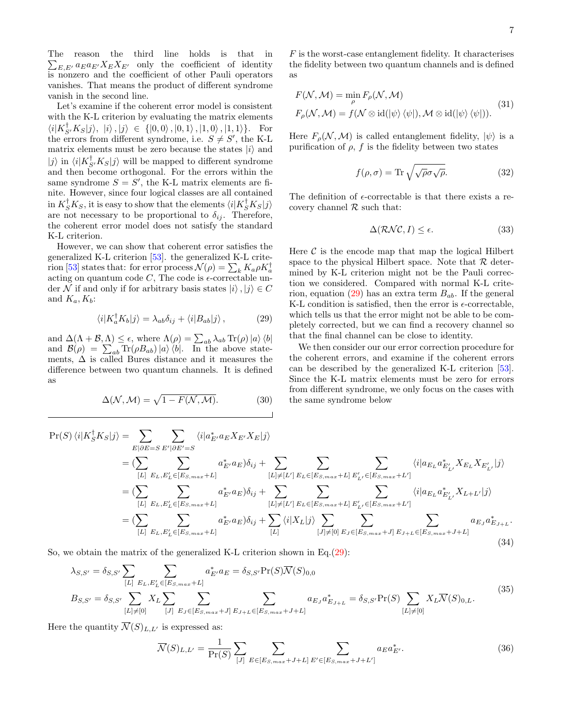The reason the third line holds is that in  $\sum_{E,E'} a_E a_{E'} X_E X_{E'}$  only the coefficient of identity is nonzero and the coefficient of other Pauli operators vanishes. That means the product of different syndrome vanish in the second line.

Let's examine if the coherent error model is consistent with the K-L criterion by evaluating the matrix elements  $\langle i|K_{S'}^{\dagger}K_S|j\rangle, \ |i\rangle\,, |j\rangle\ \in\ \left\{\left|0,0\right\rangle, \left|0,1\right\rangle, \left|1,0\right\rangle, \left|1,1\right\rangle\right\}. \quad\text{For}$ the errors from different syndrome, i.e.  $S \neq S'$ , the K-L matrix elements must be zero because the states  $|i\rangle$  and  $|j\rangle$  in  $\langle i|K_{S'}^{\dagger}K_{S}|j\rangle$  will be mapped to different syndrome and then become orthogonal. For the errors within the same syndrome  $S = S'$ , the K-L matrix elements are finite. However, since four logical classes are all contained in  $K_S^{\dagger} K_S$ , it is easy to show that the elements  $\langle i | K_S^{\dagger} K_S | j \rangle$ are not necessary to be proportional to  $\delta_{ij}$ . Therefore, the coherent error model does not satisfy the standard K-L criterion.

However, we can show that coherent error satisfies the generalized K-L criterion [\[53\]](#page-14-33). the generalized K-L crite-rion [\[53\]](#page-14-33) states that: for error process  $\mathcal{N}(\rho) = \sum_{k} K_a \rho K_a^{\dagger}$ acting on quantum code  $C$ , The code is  $\epsilon$ -correctable under N if and only if for arbitrary basis states  $|i\rangle, |j\rangle \in C$ and  $K_a, K_b$ :

<span id="page-6-0"></span>
$$
\langle i|K_a^{\dagger}K_b|j\rangle = \lambda_{ab}\delta_{ij} + \langle i|B_{ab}|j\rangle, \qquad (29)
$$

and  $\Delta(\Lambda + \mathcal{B}, \Lambda) \leq \epsilon$ , where  $\Lambda(\rho) = \sum_{ab} \lambda_{ab} \text{Tr}(\rho) |a\rangle \langle b|$ and  $\mathcal{B}(\rho) = \sum_{ab} \text{Tr}(\rho B_{ab}) |a\rangle \langle b|$ . In the above statements,  $\Delta$  is called Bures distance and it measures the difference between two quantum channels. It is defined as

$$
\Delta(\mathcal{N}, \mathcal{M}) = \sqrt{1 - F(\mathcal{N}, \mathcal{M})}.
$$
 (30)

 $F$  is the worst-case entanglement fidelity. It characterises the fidelity between two quantum channels and is defined as

$$
F(\mathcal{N}, \mathcal{M}) = \min_{\rho} F_{\rho}(\mathcal{N}, \mathcal{M})
$$
  

$$
F_{\rho}(\mathcal{N}, \mathcal{M}) = f(\mathcal{N} \otimes id(|\psi\rangle \langle \psi|), \mathcal{M} \otimes id(|\psi\rangle \langle \psi|)).
$$
 (31)

Here  $F_{\rho}(\mathcal{N},\mathcal{M})$  is called entanglement fidelity,  $|\psi\rangle$  is a purification of  $\rho$ ,  $f$  is the fidelity between two states

$$
f(\rho, \sigma) = \text{Tr}\sqrt{\sqrt{\rho}\sigma\sqrt{\rho}}.
$$
 (32)

The definition of  $\epsilon$ -correctable is that there exists a recovery channel  $R$  such that:

$$
\Delta(\mathcal{RNC}, I) \le \epsilon. \tag{33}
$$

Here  $\mathcal C$  is the encode map that map the logical Hilbert space to the physical Hilbert space. Note that  $R$  determined by K-L criterion might not be the Pauli correction we considered. Compared with normal K-L crite-rion, equation [\(29\)](#page-6-0) has an extra term  $B_{ab}$ . If the general K-L condition is satisfied, then the error is  $\epsilon$ -correctable, which tells us that the error might not be able to be completely corrected, but we can find a recovery channel so that the final channel can be close to identity.

We then consider our our error correction procedure for the coherent errors, and examine if the coherent errors can be described by the generalized K-L criterion [\[53\]](#page-14-33). Since the K-L matrix elements must be zero for errors from different syndrome, we only focus on the cases with the same syndrome below

$$
\Pr(S) \langle i | K_{S}^{\dagger} K_{S} | j \rangle = \sum_{E | \partial E = S} \sum_{E' | \partial E' = S} \langle i | a_{E'}^* a_{E} X_{E'} X_{E} | j \rangle
$$
\n
$$
= (\sum_{[L] \ E_{L}, E'_{L} \in [E_{S, max} + L]} \sum_{\substack{E'_{L} \in [E_{S, max} + L] \\ E'_{L} | E'_{L} | E'_{L} \in [E_{S, max} + L]}} \sum_{\substack{E'_{L} \in [E_{S, max} + L] \\ E'_{L} | E'_{L} | E'_{L} \in [E_{S, max} + L]}} \langle i | a_{E_{L}} a_{E'_{L'}}^* X_{E_{L}} X_{E'_{L}} | j \rangle
$$
\n
$$
= (\sum_{[L] \ E_{L}, E'_{L} \in [E_{S, max} + L]} \sum_{\substack{E'_{L} \in [E_{S, max} + L] \\ E'_{L} | E'_{L} | E'_{L} \in [E_{S, max} + L]}} \sum_{\substack{E'_{L} \in [E_{S, max} + L] \\ E'_{L} | E'_{L} \in [E_{S, max} + L]}} \langle i | a_{E_{L}} a_{E'_{L'}}^* X_{L + L'} | j \rangle
$$
\n
$$
= (\sum_{[L] \ E_{L}, E'_{L} \in [E_{S, max} + L]} a_{E'}^* a_{E}) \delta_{ij} + \sum_{[L]} \langle i | X_{L} | j \rangle \sum_{\substack{J \neq [0] \\ E_{J} \in [E_{S, max} + J]} E_{J + L} \in [E_{S, max} + J + L]} a_{E_{J}} a_{E_{J}}^* a_{E_{J + L}}^*.
$$
\n(34)

So, we obtain the matrix of the generalized K-L criterion shown in Eq.  $(29)$ :

<span id="page-6-1"></span>
$$
\lambda_{S,S'} = \delta_{S,S'} \sum_{[L]} \sum_{E_L, E'_L \in [E_{S,max} + L]} a_{E'}^* a_E = \delta_{S,S'} \Pr(S) \overline{\mathcal{N}}(S)_{0,0}
$$
\n
$$
B_{S,S'} = \delta_{S,S'} \sum_{[L] \neq [0]} X_L \sum_{[J]} \sum_{E_J \in [E_{S,max} + J]} \sum_{E_{J+L} \in [E_{S,max} + J+L]} a_{E_J} a_{E_J}^* a_{E_{J+L}}^* = \delta_{S,S'} \Pr(S) \sum_{[L] \neq [0]} X_L \overline{\mathcal{N}}(S)_{0,L}.
$$
\n
$$
(35)
$$

Here the quantity  $\overline{\mathcal{N}}(S)_{L,L'}$  is expressed as:

$$
\overline{\mathcal{N}}(S)_{L,L'} = \frac{1}{\Pr(S)} \sum_{[J]} \sum_{E \in [E_{S,max} + J + L]} \sum_{E' \in [E_{S,max} + J + L']} a_E a_{E'}^*.
$$
\n(36)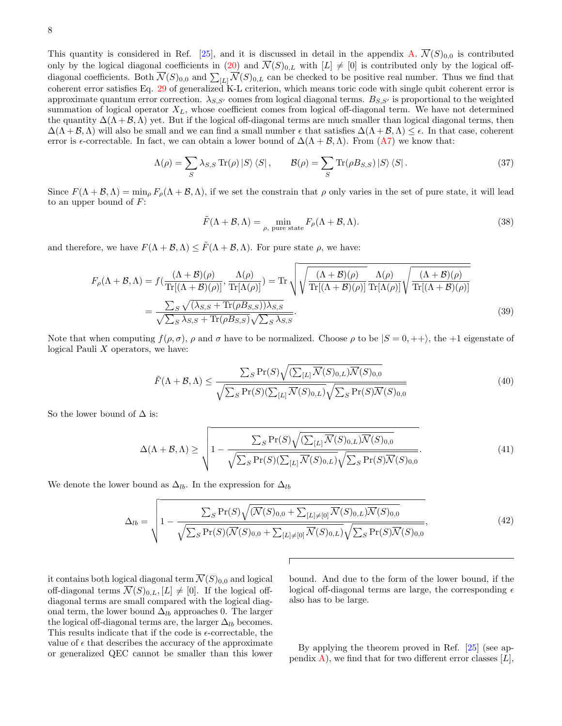8

This quantity is considered in Ref. [\[25\]](#page-14-30), and it is discussed in detail in the appendix [A.](#page-11-1)  $\overline{\mathcal{N}}(S)_{0,0}$  is contributed only by the logical diagonal coefficients in [\(20\)](#page-5-1) and  $\overline{\mathcal{N}}(S)_{0,L}$  with  $[L] \neq [0]$  is contributed only by the logical offdiagonal coefficients. Both  $\overline{\mathcal{N}}(S)_{0,0}$  and  $\sum_{[L]} \overline{\mathcal{N}}(S)_{0,L}$  can be checked to be positive real number. Thus we find that coherent error satisfies Eq. [29](#page-6-0) of generalized K-L criterion, which means toric code with single qubit coherent error is approximate quantum error correction.  $\lambda_{S,S'}$  comes from logical diagonal terms.  $B_{S,S'}$  is proportional to the weighted summation of logical operator  $X_L$ , whose coefficient comes from logical off-diagonal term. We have not determined the quantity  $\Delta(\Lambda + \mathcal{B}, \Lambda)$  yet. But if the logical off-diagonal terms are much smaller than logical diagonal terms, then  $\Delta(\Lambda + \mathcal{B}, \Lambda)$  will also be small and we can find a small number  $\epsilon$  that satisfies  $\Delta(\Lambda + \mathcal{B}, \Lambda) \leq \epsilon$ . In that case, coherent error is  $\epsilon$ -correctable. In fact, we can obtain a lower bound of  $\Delta(\Lambda + \mathcal{B}, \Lambda)$ . From  $(A7)$  we know that:

$$
\Lambda(\rho) = \sum_{S} \lambda_{S,S} \operatorname{Tr}(\rho) \left| S \right\rangle \left\langle S \right|, \qquad \mathcal{B}(\rho) = \sum_{S} \operatorname{Tr}(\rho B_{S,S}) \left| S \right\rangle \left\langle S \right|.
$$
 (37)

Since  $F(\Lambda + \mathcal{B}, \Lambda) = \min_{\rho} F_{\rho}(\Lambda + \mathcal{B}, \Lambda)$ , if we set the constrain that  $\rho$  only varies in the set of pure state, it will lead to an upper bound of  $F$ :

$$
\tilde{F}(\Lambda + \mathcal{B}, \Lambda) = \min_{\rho, \text{ pure state}} F_{\rho}(\Lambda + \mathcal{B}, \Lambda).
$$
\n(38)

and therefore, we have  $F(\Lambda + \mathcal{B}, \Lambda) \leq \tilde{F}(\Lambda + \mathcal{B}, \Lambda)$ . For pure state  $\rho$ , we have:

$$
F_{\rho}(\Lambda + \mathcal{B}, \Lambda) = f(\frac{(\Lambda + \mathcal{B})(\rho)}{\text{Tr}[(\Lambda + \mathcal{B})(\rho)]}, \frac{\Lambda(\rho)}{\text{Tr}[\Lambda(\rho)]}) = \text{Tr}\sqrt{\sqrt{\frac{(\Lambda + \mathcal{B})(\rho)}{\text{Tr}[(\Lambda + \mathcal{B})(\rho)]}}\frac{\Lambda(\rho)}{\text{Tr}[\Lambda(\rho)]}\sqrt{\frac{(\Lambda + \mathcal{B})(\rho)}{\text{Tr}[(\Lambda + \mathcal{B})(\rho)]}}}
$$

$$
= \frac{\sum_{S} \sqrt{(\lambda_{S,S} + \text{Tr}(\rho B_{S,S}))\lambda_{S,S}}}{\sqrt{\sum_{S} \lambda_{S,S} + \text{Tr}(\rho B_{S,S})}\sqrt{\sum_{S} \lambda_{S,S}}}.
$$
(39)

Note that when computing  $f(\rho, \sigma)$ ,  $\rho$  and  $\sigma$  have to be normalized. Choose  $\rho$  to be  $|S = 0, +\rangle$ , the +1 eigenstate of logical Pauli  $X$  operators, we have:

$$
\tilde{F}(\Lambda + \mathcal{B}, \Lambda) \le \frac{\sum_{S} \Pr(S) \sqrt{(\sum_{[L]} \overline{\mathcal{N}}(S)_{0,L})} \overline{\mathcal{N}}(S)_{0,0}}}{\sqrt{\sum_{S} \Pr(S) (\sum_{[L]} \overline{\mathcal{N}}(S)_{0,L})} \sqrt{\sum_{S} \Pr(S) \overline{\mathcal{N}}(S)_{0,0}}}
$$
\n(40)

So the lower bound of  $\Delta$  is:

$$
\Delta(\Lambda + \mathcal{B}, \Lambda) \ge \sqrt{1 - \frac{\sum_{S} \Pr(S) \sqrt{(\sum_{[L]} \overline{\mathcal{N}}(S)_{0,L}) \overline{\mathcal{N}}(S)_{0,0}}}{\sqrt{\sum_{S} \Pr(S) (\sum_{[L]} \overline{\mathcal{N}}(S)_{0,L})} \sqrt{\sum_{S} \Pr(S) \overline{\mathcal{N}}(S)_{0,0}}}}.
$$
(41)

We denote the lower bound as  $\Delta_{lb}$ . In the expression for  $\Delta_{lb}$ 

$$
\Delta_{lb} = \sqrt{1 - \frac{\sum_{S} \Pr(S) \sqrt{(\overline{N}(S)_{0,0} + \sum_{[L] \neq [0]} \overline{N}(S)_{0,L}) \overline{N}(S)_{0,0}}}{\sqrt{\sum_{S} \Pr(S) (\overline{N}(S)_{0,0} + \sum_{[L] \neq [0]} \overline{N}(S)_{0,L})} \sqrt{\sum_{S} \Pr(S) \overline{N}(S)_{0,0}}}},
$$
(42)

it contains both logical diagonal term  $\overline{\mathcal{N}}(S)_{0,0}$  and logical off-diagonal terms  $\overline{\mathcal{N}}(S)_{0,L}$ ,  $[L] \neq [0]$ . If the logical offdiagonal terms are small compared with the logical diagonal term, the lower bound  $\Delta_{lb}$  approaches 0. The larger the logical off-diagonal terms are, the larger  $\Delta_{lb}$  becomes. This results indicate that if the code is  $\epsilon$ -correctable, the value of  $\epsilon$  that describes the accuracy of the approximate or generalized QEC cannot be smaller than this lower bound. And due to the form of the lower bound, if the logical off-diagonal terms are large, the corresponding  $\epsilon$ also has to be large.

By applying the theorem proved in Ref. [\[25\]](#page-14-30) (see ap-pendix [A\)](#page-11-1), we find that for two different error classes  $[L]$ ,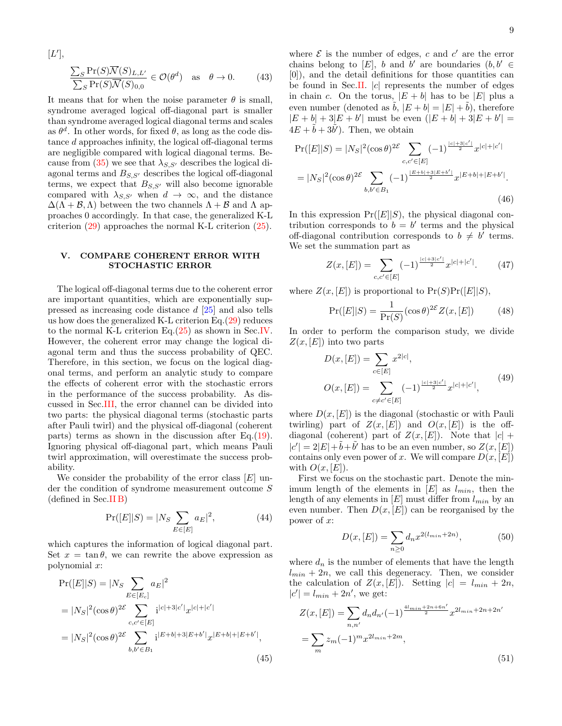$$
[L'],
$$
  
\n
$$
\frac{\sum_{S} \Pr(S)\overline{\mathcal{N}}(S)_{L,L'}}{\sum_{S} \Pr(S)\overline{\mathcal{N}}(S)_{0,0}} \in \mathcal{O}(\theta^d) \text{ as } \theta \to 0.
$$
 (43)

It means that for when the noise parameter  $\theta$  is small, syndrome averaged logical off-diagonal part is smaller than syndrome averaged logical diagonal terms and scales as  $\theta^d$ . In other words, for fixed  $\theta$ , as long as the code distance d approaches infinity, the logical off-diagonal terms are negligible compared with logical diagonal terms. Be-cause from [\(35\)](#page-6-1) we see that  $\lambda_{S,S'}$  describes the logical diagonal terms and  $B_{S,S'}$  describes the logical off-diagonal terms, we expect that  $B_{S,S'}$  will also become ignorable compared with  $\lambda_{S,S'}$  when  $d \to \infty$ , and the distance  $\Delta(\Lambda + \mathcal{B}, \Lambda)$  between the two channels  $\Lambda + \mathcal{B}$  and  $\Lambda$  approaches 0 accordingly. In that case, the generalized K-L criterion [\(29\)](#page-6-0) approaches the normal K-L criterion [\(25\)](#page-5-3).

# <span id="page-8-0"></span>V. COMPARE COHERENT ERROR WITH STOCHASTIC ERROR

The logical off-diagonal terms due to the coherent error are important quantities, which are exponentially suppressed as increasing code distance d [\[25\]](#page-14-30) and also tells us how does the generalized K-L criterion Eq.[\(29\)](#page-6-0) reduces to the normal K-L criterion Eq.[\(25\)](#page-5-3) as shown in Sec[.IV.](#page-5-0) However, the coherent error may change the logical diagonal term and thus the success probability of QEC. Therefore, in this section, we focus on the logical diagonal terms, and perform an analytic study to compare the effects of coherent error with the stochastic errors in the performance of the success probability. As discussed in Sec[.III,](#page-4-0) the error channel can be divided into two parts: the physical diagonal terms (stochastic parts after Pauli twirl) and the physical off-diagonal (coherent parts) terms as shown in the discussion after Eq. $(19)$ . Ignoring physical off-diagonal part, which means Pauli twirl approximation, will overestimate the success probability.

We consider the probability of the error class  $[E]$  under the condition of syndrome measurement outcome S (defined in Sec[.II B\)](#page-3-3)

$$
Pr([E||S) = |N_S \sum_{E \in [E]} a_E|^2,
$$
\n(44)

which captures the information of logical diagonal part. Set  $x = \tan \theta$ , we can rewrite the above expression as polynomial x:

$$
Pr([E||S) = |N_S \sum_{E \in [E_c]} a_E|^2
$$
  
=  $|N_S|^2 (\cos \theta)^{2\mathcal{E}} \sum_{c,c' \in [E]} i^{|c|+3|c'|} x^{|c|+|c'|}$   
=  $|N_S|^2 (\cos \theta)^{2\mathcal{E}} \sum_{b,b' \in B_1} i^{|E+b|+3|E+b'|} x^{|E+b|+|E+b'|},$  (45)

where  $\mathcal E$  is the number of edges, c and c' are the error chains belong to [E], b and b' are boundaries  $(b, b' \in$ [0]), and the detail definitions for those quantities can be found in Sec[.II.](#page-1-0)  $|c|$  represents the number of edges in chain c. On the torus,  $|E + b|$  has to be  $|E|$  plus a even number (denoted as  $\tilde{b}$ ,  $|E + b| = |E| + \tilde{b}$ ), therefore  $|E + b| + 3|E + b'|$  must be even  $(|E + b| + 3|E + b'| =$  $4E + \tilde{b} + 3\tilde{b}'$ . Then, we obtain

$$
\Pr([E||S) = |N_S|^2(\cos\theta)^{2\mathcal{E}} \sum_{c,c' \in [E]} (-1)^{\frac{|c|+3|c'|}{2}} x^{|c|+|c'|}
$$
  
=  $|N_S|^2(\cos\theta)^{2\mathcal{E}} \sum_{b,b' \in B_1} (-1)^{\frac{|E+b|+3|E+b'|}{2}} x^{|E+b|+|E+b'|}.$  (46)

In this expression  $Pr([E||S)]$ , the physical diagonal contribution corresponds to  $b = b'$  terms and the physical off-diagonal contribution corresponds to  $b \neq b'$  terms. We set the summation part as

$$
Z(x,[E]) = \sum_{c,c' \in [E]} (-1)^{\frac{|c|+3|c'|}{2}} x^{|c|+|c'|}.
$$
 (47)

where  $Z(x,[E])$  is proportional to  $Pr(S)Pr([E||S),$ 

$$
Pr([E||S) = \frac{1}{Pr(S)} (\cos \theta)^{2\mathcal{E}} Z(x, [E])
$$
 (48)

In order to perform the comparison study, we divide  $Z(x,[E])$  into two parts

$$
D(x, [E]) = \sum_{c \in [E]} x^{2|c|},
$$
  
\n
$$
O(x, [E]) = \sum_{c \neq c' \in [E]} (-1)^{\frac{|c| + 3|c'|}{2}} x^{|c| + |c'|},
$$
\n(49)

where  $D(x, [E])$  is the diagonal (stochastic or with Pauli twirling) part of  $Z(x,[E])$  and  $O(x,[E])$  is the offdiagonal (coherent) part of  $Z(x,[E])$ . Note that  $|c|$  +  $|c'| = 2|E| + \tilde{b} + \tilde{b}'$  has to be an even number, so  $Z(x, [E])$ contains only even power of x. We will compare  $D(x, [E])$ with  $O(x, [E])$ .

First we focus on the stochastic part. Denote the minimum length of the elements in  $[E]$  as  $l_{min}$ , then the length of any elements in  $[E]$  must differ from  $l_{min}$  by an even number. Then  $D(x, [E])$  can be reorganised by the power of x:

<span id="page-8-1"></span>
$$
D(x,[E]) = \sum_{n\geq 0} d_n x^{2(l_{min}+2n)},\tag{50}
$$

where  $d_n$  is the number of elements that have the length  $l_{min} + 2n$ , we call this degeneracy. Then, we consider the calculation of  $Z(x,[E])$ . Setting  $|c| = l_{min} + 2n$ ,  $|c'| = l_{min} + 2n'$ , we get:

$$
Z(x,[E]) = \sum_{n,n'} d_n d_{n'} (-1)^{\frac{4l_{min}+2n+6n'}{2}} x^{2l_{min}+2n+2n'}
$$

$$
= \sum_{m} z_m (-1)^m x^{2l_{min}+2m}, \tag{51}
$$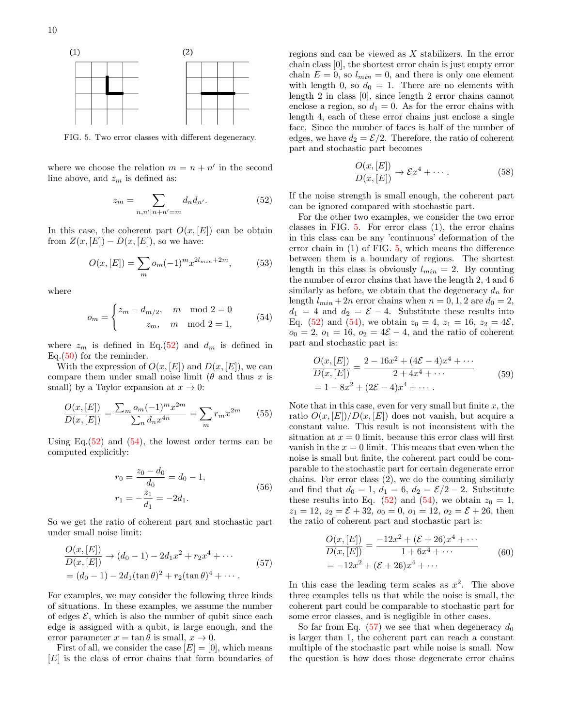

<span id="page-9-2"></span>FIG. 5. Two error classes with different degeneracy.

where we choose the relation  $m = n + n'$  in the second line above, and  $z_m$  is defined as:

<span id="page-9-0"></span>
$$
z_m = \sum_{n,n'|n+n'=m} d_n d_{n'}.\tag{52}
$$

In this case, the coherent part  $O(x, [E])$  can be obtain from  $Z(x,[E])-D(x,[E])$ , so we have:

$$
O(x,[E]) = \sum_{m} o_m(-1)^m x^{2l_{min} + 2m},
$$
 (53)

where

<span id="page-9-1"></span>
$$
o_m = \begin{cases} z_m - d_{m/2}, & m \mod 2 = 0 \\ z_m, & m \mod 2 = 1, \end{cases}
$$
 (54)

where  $z_m$  is defined in Eq.[\(52\)](#page-9-0) and  $d_m$  is defined in Eq.[\(50\)](#page-8-1) for the reminder.

With the expression of  $O(x, [E])$  and  $D(x, [E])$ , we can compare them under small noise limit ( $\theta$  and thus x is small) by a Taylor expansion at  $x \to 0$ :

$$
\frac{O(x,[E])}{D(x,[E])} = \frac{\sum_{m} o_m (-1)^m x^{2m}}{\sum_n d_n x^{4n}} = \sum_m r_m x^{2m}
$$
(55)

Using Eq.  $(52)$  and  $(54)$ , the lowest order terms can be computed explicitly:

$$
r_0 = \frac{z_0 - d_0}{d_0} = d_0 - 1,
$$
  
\n
$$
r_1 = -\frac{z_1}{d_1} = -2d_1.
$$
\n(56)

So we get the ratio of coherent part and stochastic part under small noise limit:

<span id="page-9-3"></span>
$$
\frac{O(x,[E])}{D(x,[E])} \to (d_0 - 1) - 2d_1x^2 + r_2x^4 + \cdots
$$
  
=  $(d_0 - 1) - 2d_1(\tan \theta)^2 + r_2(\tan \theta)^4 + \cdots$  (57)

For examples, we may consider the following three kinds of situations. In these examples, we assume the number of edges  $\mathcal{E}$ , which is also the number of qubit since each edge is assigned with a qubit, is large enough, and the error parameter  $x = \tan \theta$  is small,  $x \to 0$ .

First of all, we consider the case  $[E] = [0]$ , which means [E] is the class of error chains that form boundaries of regions and can be viewed as X stabilizers. In the error chain class [0], the shortest error chain is just empty error chain  $E = 0$ , so  $l_{min} = 0$ , and there is only one element with length 0, so  $d_0 = 1$ . There are no elements with length 2 in class [0], since length 2 error chains cannot enclose a region, so  $d_1 = 0$ . As for the error chains with length 4, each of these error chains just enclose a single face. Since the number of faces is half of the number of edges, we have  $d_2 = \mathcal{E}/2$ . Therefore, the ratio of coherent part and stochastic part becomes

$$
\frac{O(x,[E])}{D(x,[E])} \to \mathcal{E}x^4 + \cdots. \tag{58}
$$

If the noise strength is small enough, the coherent part can be ignored compared with stochastic part.

For the other two examples, we consider the two error classes in FIG. [5.](#page-9-2) For error class (1), the error chains in this class can be any 'continuous' deformation of the error chain in (1) of FIG. [5,](#page-9-2) which means the difference between them is a boundary of regions. The shortest length in this class is obviously  $l_{min} = 2$ . By counting the number of error chains that have the length 2, 4 and 6 similarly as before, we obtain that the degeneracy  $d_n$  for length  $l_{min} + 2n$  error chains when  $n = 0, 1, 2$  are  $d_0 = 2$ ,  $d_1 = 4$  and  $d_2 = \mathcal{E} - 4$ . Substitute these results into Eq. [\(52\)](#page-9-0) and [\(54\)](#page-9-1), we obtain  $z_0 = 4$ ,  $z_1 = 16$ ,  $z_2 = 4\mathcal{E}$ ,  $o_0 = 2, o_1 = 16, o_2 = 4\mathcal{E} - 4$ , and the ratio of coherent part and stochastic part is:

$$
\frac{O(x, [E])}{D(x, [E])} = \frac{2 - 16x^2 + (4\mathcal{E} - 4)x^4 + \cdots}{2 + 4x^4 + \cdots}
$$
\n
$$
= 1 - 8x^2 + (2\mathcal{E} - 4)x^4 + \cdots
$$
\n(59)

Note that in this case, even for very small but finite  $x$ , the ratio  $O(x, [E])/D(x, [E])$  does not vanish, but acquire a constant value. This result is not inconsistent with the situation at  $x = 0$  limit, because this error class will first vanish in the  $x = 0$  limit. This means that even when the noise is small but finite, the coherent part could be comparable to the stochastic part for certain degenerate error chains. For error class (2), we do the counting similarly and find that  $d_0 = 1$ ,  $d_1 = 6$ ,  $d_2 = \mathcal{E}/2 - 2$ . Substitute these results into Eq. [\(52\)](#page-9-0) and [\(54\)](#page-9-1), we obtain  $z_0 = 1$ ,  $z_1 = 12, z_2 = \mathcal{E} + 32, o_0 = 0, o_1 = 12, o_2 = \mathcal{E} + 26$ , then the ratio of coherent part and stochastic part is:

$$
\frac{O(x,[E])}{D(x,[E])} = \frac{-12x^2 + (\mathcal{E} + 26)x^4 + \cdots}{1 + 6x^4 + \cdots}
$$
\n
$$
= -12x^2 + (\mathcal{E} + 26)x^4 + \cdots
$$
\n(60)

In this case the leading term scales as  $x^2$ . The above three examples tells us that while the noise is small, the coherent part could be comparable to stochastic part for some error classes, and is negligible in other cases.

So far from Eq.  $(57)$  we see that when degeneracy  $d_0$ is larger than 1, the coherent part can reach a constant multiple of the stochastic part while noise is small. Now the question is how does those degenerate error chains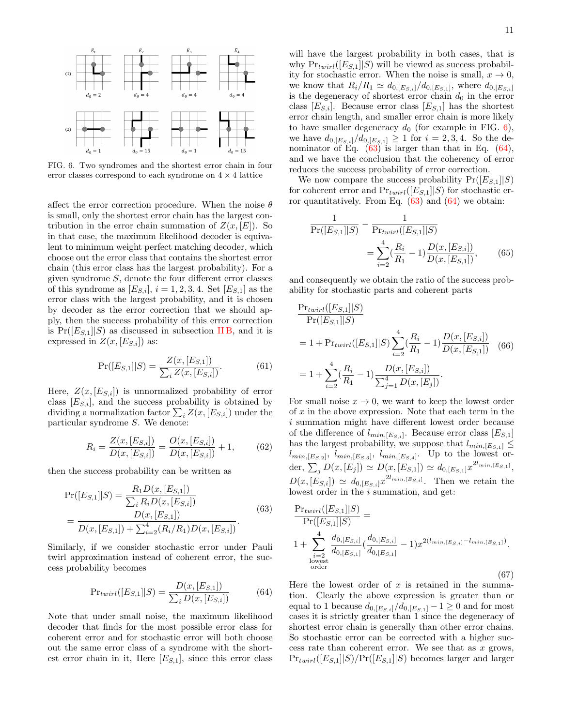

<span id="page-10-0"></span>FIG. 6. Two syndromes and the shortest error chain in four error classes correspond to each syndrome on  $4 \times 4$  lattice

affect the error correction procedure. When the noise  $\theta$ is small, only the shortest error chain has the largest contribution in the error chain summation of  $Z(x,[E])$ . So in that case, the maximum likelihood decoder is equivalent to minimum weight perfect matching decoder, which choose out the error class that contains the shortest error chain (this error class has the largest probability). For a given syndrome S, denote the four different error classes of this syndrome as  $[E_{S,i}], i = 1, 2, 3, 4$ . Set  $[E_{S,1}]$  as the error class with the largest probability, and it is chosen by decoder as the error correction that we should apply, then the success probability of this error correction is  $Pr([E_{S,1}||S)$  as discussed in subsection IIB, and it is expressed in  $Z(x,[E_{S,i}])$  as:

$$
Pr([E_{S,1}]|S) = \frac{Z(x, [E_{S,1}])}{\sum_{i} Z(x, [E_{S,i}])}.
$$
 (61)

Here,  $Z(x, [E_{S,i}])$  is unnormalized probability of error class  $[E_{S,i}]$ , and the success probability is obtained by dividing a normalization factor  $\sum_i Z(x,[E_{S,i}])$  under the particular syndrome S. We denote:

$$
R_i = \frac{Z(x, [E_{S,i}])}{D(x, [E_{S,i}])} = \frac{O(x, [E_{S,i}])}{D(x, [E_{S,i}])} + 1,
$$
 (62)

then the success probability can be written as

<span id="page-10-1"></span>
$$
Pr([E_{S,1}||S) = \frac{R_1 D(x, [E_{S,1}])}{\sum_i R_i D(x, [E_{S,i}])}
$$
  
= 
$$
\frac{D(x, [E_{S,1}])}{D(x, [E_{S,1}]) + \sum_{i=2}^4 (R_i/R_1)D(x, [E_{S,i}])}.
$$
(63)

Similarly, if we consider stochastic error under Pauli twirl approximation instead of coherent error, the success probability becomes

<span id="page-10-2"></span>
$$
Pr_{twirl}([E_{S,1}||S) = \frac{D(x,[E_{S,1}])}{\sum_{i} D(x,[E_{S,i}])}
$$
(64)

Note that under small noise, the maximum likelihood decoder that finds for the most possible error class for coherent error and for stochastic error will both choose out the same error class of a syndrome with the shortest error chain in it, Here  $[E_{S,1}]$ , since this error class will have the largest probability in both cases, that is why  $Pr_{twirl}([E_{S,1}||S)$  will be viewed as success probability for stochastic error. When the noise is small,  $x \to 0$ , we know that  $R_i/R_1 \simeq d_{0,[E_{S,i}]} / d_{0,[E_{S,1}]},$  where  $d_{0,[E_{S,i}]}$ is the degeneracy of shortest error chain  $d_0$  in the error class  $[E_{S,i}]$ . Because error class  $[E_{S,1}]$  has the shortest error chain length, and smaller error chain is more likely to have smaller degeneracy  $d_0$  (for example in FIG. [6\)](#page-10-0), we have  $d_{0,[E_{S,i}]} / d_{0,[E_{S,1}]} \geq 1$  for  $i = 2,3,4$ . So the denominator of Eq.  $(63)$  is larger than that in Eq.  $(64)$ , and we have the conclusion that the coherency of error reduces the success probability of error correction.

We now compare the success probability  $Pr([E_{S,1}||S)]$ for coherent error and  $Pr_{twirl}([E_{S,1}||S)$  for stochastic error quantitatively. From Eq.  $(63)$  and  $(64)$  we obtain:

$$
\frac{1}{\Pr([E_{S,1}||S)} - \frac{1}{\Pr_{twirl}([E_{S,1}||S)} = \sum_{i=2}^{4} (\frac{R_i}{R_1} - 1) \frac{D(x,[E_{S,i}])}{D(x,[E_{S,1}])},
$$
(65)

and consequently we obtain the ratio of the success probability for stochastic parts and coherent parts

<span id="page-10-3"></span>
$$
\frac{\Pr_{twirl}([E_{S,1}||S)}{\Pr([E_{S,1}||S)}
$$
\n
$$
= 1 + \Pr_{twirl}([E_{S,1}||S) \sum_{i=2}^{4} \left(\frac{R_i}{R_1} - 1\right) \frac{D(x,[E_{S,i}])}{D(x,[E_{S,1}])} \tag{66}
$$
\n
$$
= 1 + \sum_{i=2}^{4} \left(\frac{R_i}{R_1} - 1\right) \frac{D(x,[E_{S,i}])}{\sum_{j=1}^{4} D(x,[E_j])}.
$$

For small noise  $x \to 0$ , we want to keep the lowest order of  $x$  in the above expression. Note that each term in the i summation might have different lowest order because of the difference of  $l_{min,[E_{S,i}]}$ . Because error class  $[E_{S,1}]$ has the largest probability, we suppose that  $l_{min,[E_{S,1}]} \leq$  $l_{min,[E_{S,2}]}, l_{min,[E_{S,3}]}, l_{min,[E_{S,4}]}.$  Up to the lowest order,  $\sum_j D(x,[E_j]) \simeq D(x,[E_{S,1}]) \simeq d_{0,[E_{S,1}]} x^{2l_{min,[E_{S,1}]}},$  $D(x,[E_{S,i}]) \simeq d_{0,[E_{S,i}]} x^{2l_{min,[E_{S,i}]}}.$  Then we retain the lowest order in the i summation, and get:

<span id="page-10-4"></span>
$$
\frac{\Pr_{twirl}([E_{S,1}||S)}{\Pr([E_{S,1}||S)} =
$$
\n
$$
1 + \sum_{\substack{i=2 \text{over} \\ \text{order}}}^{4} \frac{d_{0,[E_{S,i}]}(d_{0,[E_{S,i}]} - 1)x^{2(l_{min,[E_{S,i}]} - l_{min,[E_{S,1}])}}{d_{0,[E_{S,1}]} - l_{min,[E_{S,i}]} - l_{min,[E_{S,1}]}},
$$
\n(67)

Here the lowest order of  $x$  is retained in the summation. Clearly the above expression is greater than or equal to 1 because  $d_{0,[E_{S,i}]} / d_{0,[E_{S,1}]} - 1 \ge 0$  and for most cases it is strictly greater than 1 since the degeneracy of shortest error chain is generally than other error chains. So stochastic error can be corrected with a higher success rate than coherent error. We see that as  $x$  grows,  $Pr_{twirl}([E_{S,1}||S)/Pr([E_{S,1}||S)$  becomes larger and larger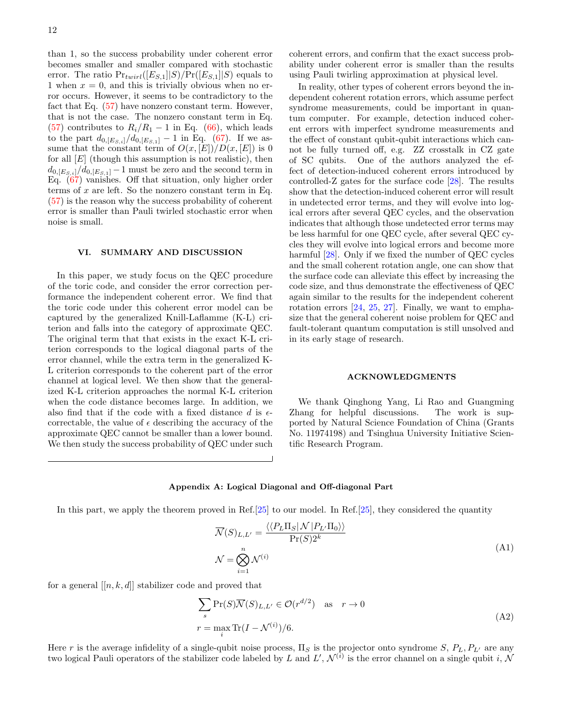than 1, so the success probability under coherent error becomes smaller and smaller compared with stochastic error. The ratio  $Pr_{twirl}([E_{S,1}||S)/Pr([E_{S,1}||S)$  equals to 1 when  $x = 0$ , and this is trivially obvious when no error occurs. However, it seems to be contradictory to the fact that Eq. [\(57\)](#page-9-3) have nonzero constant term. However, that is not the case. The nonzero constant term in Eq. [\(57\)](#page-9-3) contributes to  $R_i/R_1 - 1$  in Eq. [\(66\)](#page-10-3), which leads to the part  $d_{0,[E_{S,i}]} / d_{0,[E_{S,1}]} - 1$  in Eq. [\(67\)](#page-10-4). If we assume that the constant term of  $O(x, [E])/D(x, [E])$  is 0 for all  $[E]$  (though this assumption is not realistic), then  $d_{0,[E_{S,i}]} / d_{0,[E_{S,1}]} - 1$  must be zero and the second term in Eq. [\(67\)](#page-10-4) vanishes. Off that situation, only higher order terms of  $x$  are left. So the nonzero constant term in Eq. [\(57\)](#page-9-3) is the reason why the success probability of coherent error is smaller than Pauli twirled stochastic error when noise is small.

# <span id="page-11-0"></span>VI. SUMMARY AND DISCUSSION

In this paper, we study focus on the QEC procedure of the toric code, and consider the error correction performance the independent coherent error. We find that the toric code under this coherent error model can be captured by the generalized Knill-Laflamme (K-L) criterion and falls into the category of approximate QEC. The original term that that exists in the exact K-L criterion corresponds to the logical diagonal parts of the error channel, while the extra term in the generalized K-L criterion corresponds to the coherent part of the error channel at logical level. We then show that the generalized K-L criterion approaches the normal K-L criterion when the code distance becomes large. In addition, we also find that if the code with a fixed distance d is  $\epsilon$ correctable, the value of  $\epsilon$  describing the accuracy of the approximate QEC cannot be smaller than a lower bound. We then study the success probability of QEC under such coherent errors, and confirm that the exact success probability under coherent error is smaller than the results using Pauli twirling approximation at physical level.

In reality, other types of coherent errors beyond the independent coherent rotation errors, which assume perfect syndrome measurements, could be important in quantum computer. For example, detection induced coherent errors with imperfect syndrome measurements and the effect of constant qubit-qubit interactions which cannot be fully turned off, e.g. ZZ crosstalk in CZ gate of SC qubits. One of the authors analyzed the effect of detection-induced coherent errors introduced by controlled-Z gates for the surface code [\[28\]](#page-14-16). The results show that the detection-induced coherent error will result in undetected error terms, and they will evolve into logical errors after several QEC cycles, and the observation indicates that although those undetected error terms may be less harmful for one QEC cycle, after several QEC cycles they will evolve into logical errors and become more harmful [\[28\]](#page-14-16). Only if we fixed the number of QEC cycles and the small coherent rotation angle, one can show that the surface code can alleviate this effect by increasing the code size, and thus demonstrate the effectiveness of QEC again similar to the results for the independent coherent rotation errors [\[24,](#page-14-14) [25,](#page-14-30) [27\]](#page-14-15). Finally, we want to emphasize that the general coherent noise problem for QEC and fault-tolerant quantum computation is still unsolved and in its early stage of research.

### ACKNOWLEDGMENTS

We thank Qinghong Yang, Li Rao and Guangming Zhang for helpful discussions. The work is supported by Natural Science Foundation of China (Grants No. 11974198) and Tsinghua University Initiative Scientific Research Program.

### <span id="page-11-1"></span>Appendix A: Logical Diagonal and Off-diagonal Part

In this part, we apply the theorem proved in Ref.[\[25\]](#page-14-30) to our model. In Ref.[25], they considered the quantity

$$
\overline{\mathcal{N}}(S)_{L,L'} = \frac{\langle \langle P_L \Pi_S | \mathcal{N} | P_{L'} \Pi_0 \rangle \rangle}{\Pr(S) 2^k}
$$
\n
$$
\mathcal{N} = \bigotimes_{i=1}^n \mathcal{N}^{(i)}
$$
\n(A1)

for a general  $[[n, k, d]]$  stabilizer code and proved that

$$
\sum_{s} \Pr(S)\overline{\mathcal{N}}(S)_{L,L'} \in \mathcal{O}(r^{d/2}) \quad \text{as} \quad r \to 0
$$
  

$$
r = \max_{i} \Pr(I - \mathcal{N}^{(i)})/6.
$$
 (A2)

Here r is the average infidelity of a single-qubit noise process,  $\Pi_S$  is the projector onto syndrome  $S, P_L, P_{L'}$  are any two logical Pauli operators of the stabilizer code labeled by L and L',  $\mathcal{N}^{(i)}$  is the error channel on a single qubit i, N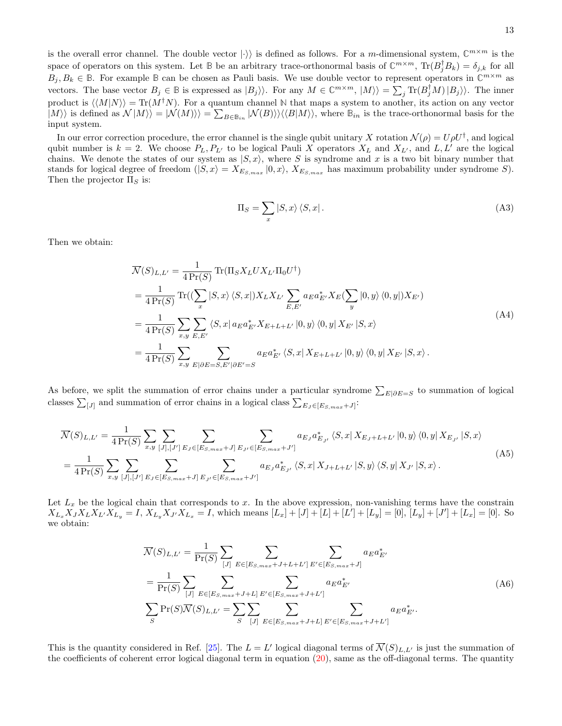is the overall error channel. The double vector  $|\cdot\rangle$  is defined as follows. For a *m*-dimensional system,  $\mathbb{C}^{m \times m}$  is the space of operators on this system. Let **B** be an arbitrary trace-orthonormal basis of  $\mathbb{C}^{m \times m}$ ,  $\text{Tr}(B_j^{\dagger}B_k) = \delta_{j,k}$  for all  $B_j, B_k \in \mathbb{B}$ . For example  $\mathbb{B}$  can be chosen as Pauli basis. We use double vector to represent operators in  $\mathbb{C}^{m \times m}$  as vectors. The base vector  $B_j \in \mathbb{B}$  is expressed as  $|B_j\rangle$ ). For any  $M \in \mathbb{C}^{m \times m}$ ,  $|M\rangle\rangle = \sum_j \text{Tr}(B_j^{\dagger}M) |B_j\rangle\rangle$ . The inner product is  $\langle M|N\rangle$  = Tr(M<sup>†</sup>N). For a quantum channel N that maps a system to another, its action on any vector  $|M\rangle$  is defined as  $\mathcal{N}|M\rangle\rangle = |\mathcal{N}(M)\rangle\rangle = \sum_{B \in \mathbb{B}_{in}} |\mathcal{N}(B)\rangle\rangle\langle\langle B|M\rangle\rangle$ , where  $\mathbb{B}_{in}$  is the trace-orthonormal basis for the input system.

In our error correction procedure, the error channel is the single qubit unitary X rotation  $\mathcal{N}(\rho) = U \rho U^{\dagger}$ , and logical qubit number is  $k = 2$ . We choose  $P_L, P_{L'}$  to be logical Pauli X operators  $X_L$  and  $X_{L'}$ , and  $L, L'$  are the logical chains. We denote the states of our system as  $|S, x\rangle$ , where S is syndrome and x is a two bit binary number that stands for logical degree of freedom  $(|S, x\rangle = X_{E_{S, max}} |0, x\rangle$ ,  $X_{E_{S, max}}$  has maximum probability under syndrome S). Then the projector  $\Pi_S$  is:

$$
\Pi_S = \sum_x |S, x\rangle \langle S, x| \,. \tag{A3}
$$

Then we obtain:

$$
\overline{\mathcal{N}}(S)_{L,L'} = \frac{1}{4 \Pr(S)} \operatorname{Tr}(\Pi_S X_L U X_{L'} \Pi_0 U^{\dagger})
$$
\n
$$
= \frac{1}{4 \Pr(S)} \operatorname{Tr}((\sum_x |S, x\rangle \langle S, x|) X_L X_{L'} \sum_{E, E'} a_E a_{E'}^* X_E (\sum_y |0, y\rangle \langle 0, y|) X_{E'})
$$
\n
$$
= \frac{1}{4 \Pr(S)} \sum_{x, y} \sum_{E, E'} \langle S, x| a_E a_{E'}^* X_{E+L+L'} |0, y\rangle \langle 0, y| X_{E'} |S, x\rangle
$$
\n
$$
= \frac{1}{4 \Pr(S)} \sum_{x, y} \sum_{E | \partial E = S, E' | \partial E' = S} a_E a_{E'}^* \langle S, x| X_{E+L+L'} |0, y\rangle \langle 0, y| X_{E'} |S, x\rangle.
$$
\n(A4)

As before, we split the summation of error chains under a particular syndrome  $\sum_{E|\partial E=S}$  to summation of logical classes  $\sum_{[J]}$  and summation of error chains in a logical class  $\sum_{E_J \in [E_{S,max}+J]}$ :

$$
\overline{\mathcal{N}}(S)_{L,L'} = \frac{1}{4 \Pr(S)} \sum_{x,y} \sum_{[J],[J']} \sum_{E_J \in [E_{S,max} + J]} \sum_{E_{J'} \in [E_{S,max} + J']} a_{E_J} a_{E_J}^* \langle S, x | X_{E_J + L + L'} | 0, y \rangle \langle 0, y | X_{E_{J'}} | S, x \rangle
$$
\n
$$
= \frac{1}{4 \Pr(S)} \sum_{x,y} \sum_{[J],[J']} \sum_{E_J \in [E_{S,max} + J]} \sum_{E_{J'} \in [E_{S,max} + J']} a_{E_J} a_{E_{J'}}^* \langle S, x | X_{J+L+L'} | S, y \rangle \langle S, y | X_{J'} | S, x \rangle.
$$
\n(A5)

Let  $L_x$  be the logical chain that corresponds to x. In the above expression, non-vanishing terms have the constrain  $X_{L_x}X_JX_LX_{L'}X_{L_y} = I, X_{L_y}X_{J'}X_{L_x} = I$ , which means  $[L_x] + [J] + [L] + [L'] + [L_y] = [0], [L_y] + [J'] + [L_x] = [0]$ . So we obtain:

$$
\overline{\mathcal{N}}(S)_{L,L'} = \frac{1}{\Pr(S)} \sum_{[J]} \sum_{E \in [E_{S,max} + J + L + L']} \sum_{E' \in [E_{S,max} + J]} a_E a_{E'}^* \n= \frac{1}{\Pr(S)} \sum_{[J]} \sum_{E \in [E_{S,max} + J + L]} \sum_{E' \in [E_{S,max} + J + L']} a_E a_{E'}^* \n\sum_{S} \Pr(S) \overline{\mathcal{N}}(S)_{L,L'} = \sum_{S} \sum_{[J]} \sum_{E \in [E_{S,max} + J + L]} \sum_{E' \in [E_{S,max} + J + L']} a_E a_{E'}^*.
$$
\n(A6)

This is the quantity considered in Ref. [\[25\]](#page-14-30). The  $L = L'$  logical diagonal terms of  $\overline{\mathcal{N}}(S)_{L,L'}$  is just the summation of the coefficients of coherent error logical diagonal term in equation [\(20\)](#page-5-1), same as the off-diagonal terms. The quantity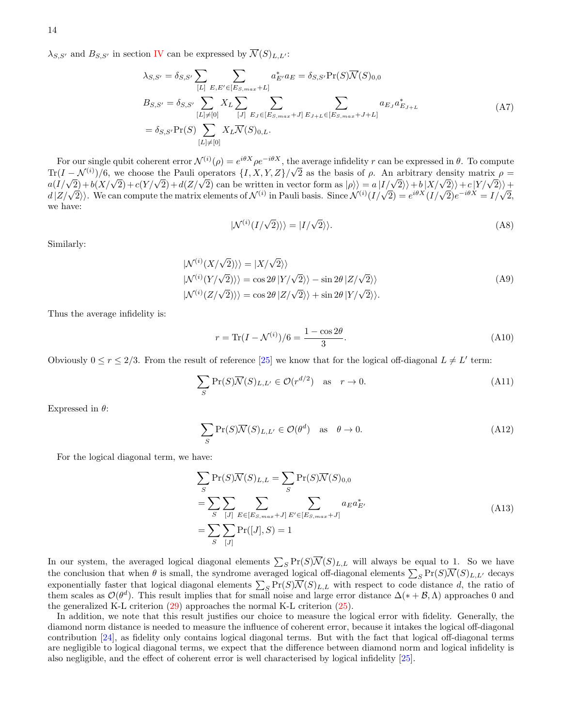$\lambda_{S,S'}$  and  $B_{S,S'}$  in section [IV](#page-5-0) can be expressed by  $\overline{\mathcal{N}}(S)_{L,L'}$ :

<span id="page-13-0"></span>
$$
\lambda_{S,S'} = \delta_{S,S'} \sum_{[L]} \sum_{E,E' \in [E_{S,max} + L]} a_{E'}^* a_E = \delta_{S,S'} \Pr(S) \overline{\mathcal{N}}(S)_{0,0}
$$
  
\n
$$
B_{S,S'} = \delta_{S,S'} \sum_{[L] \neq [0]} X_L \sum_{[J]} \sum_{E_J \in [E_{S,max} + J]} \sum_{E_{J+L} \in [E_{S,max} + J+L]} a_{E_J} a_{E_{J+L}}^* \tag{A7}
$$
  
\n
$$
= \delta_{S,S'} \Pr(S) \sum_{[L] \neq [0]} X_L \overline{\mathcal{N}}(S)_{0,L}.
$$

For our single qubit coherent error  $\mathcal{N}^{(i)}(\rho) = e^{i\theta X} \rho e^{-i\theta X}$ , the average infidelity r can be expressed in  $\theta$ . To compute  $\text{Tr}(I - \mathcal{N}^{(i)})/6$ , we choose the Pauli operators  $\{I, X, Y, Z\}/\sqrt{2}$  as the basis of  $\rho$ . An arbitrary density matrix  $\rho =$  $\frac{d}{dz}(I/\sqrt{2})+b(X/\sqrt{2})+c(Y/\sqrt{2})+d(Z/\sqrt{2})$  can be written in vector form as  $|\rho\rangle = a(I/\sqrt{2})+b(X/\sqrt{2})+c(Y/\sqrt{2})+d(Z/\sqrt{2})$  $d\left(Z/\sqrt{2}\right)$ . We can compute the matrix elements of  $\mathcal{N}^{(i)}$  in Pauli basis. Since  $\mathcal{N}^{(i)}(I/\sqrt{2}) = e^{i\theta X}(I/\sqrt{2})e^{-i\theta X} = I/\sqrt{2}$ , we have:

$$
|\mathcal{N}^{(i)}(I/\sqrt{2})\rangle\rangle = |I/\sqrt{2}\rangle\rangle.
$$
 (A8)

Similarly:

$$
|N^{(i)}(X/\sqrt{2})\rangle\rangle = |X/\sqrt{2}\rangle\rangle
$$
  
\n
$$
|N^{(i)}(Y/\sqrt{2})\rangle\rangle = \cos 2\theta |Y/\sqrt{2}\rangle\rangle - \sin 2\theta |Z/\sqrt{2}\rangle\rangle
$$
  
\n
$$
|N^{(i)}(Z/\sqrt{2})\rangle\rangle = \cos 2\theta |Z/\sqrt{2}\rangle\rangle + \sin 2\theta |Y/\sqrt{2}\rangle\rangle.
$$
 (A9)

Thus the average infidelity is:

$$
r = \text{Tr}(I - \mathcal{N}^{(i)})/6 = \frac{1 - \cos 2\theta}{3}.
$$
 (A10)

Obviously  $0 \le r \le 2/3$ . From the result of reference [\[25\]](#page-14-30) we know that for the logical off-diagonal  $L \ne L'$  term:

$$
\sum_{S} \Pr(S)\overline{\mathcal{N}}(S)_{L,L'} \in \mathcal{O}(r^{d/2}) \quad \text{as} \quad r \to 0. \tag{A11}
$$

Expressed in  $\theta$ :

$$
\sum_{S} \Pr(S)\overline{\mathcal{N}}(S)_{L,L'} \in \mathcal{O}(\theta^d) \quad \text{as} \quad \theta \to 0. \tag{A12}
$$

For the logical diagonal term, we have:

$$
\sum_{S} \Pr(S)\overline{N}(S)_{L,L} = \sum_{S} \Pr(S)\overline{N}(S)_{0,0}
$$
\n
$$
= \sum_{S} \sum_{[J]} \sum_{E \in [E_{S,max} + J]} \sum_{E' \in [E_{S,max} + J]} a_E a_{E'}^*
$$
\n
$$
= \sum_{S} \sum_{[J]} \Pr([J], S) = 1
$$
\n(A13)

In our system, the averaged logical diagonal elements  $\sum_{S} Pr(S) \overline{\mathcal{N}}(S)_{L,L}$  will always be equal to 1. So we have the conclusion that when  $\theta$  is small, the syndrome averaged logical off-diagonal elements  $\sum_S \Pr(S)\overline{\mathcal{N}}(S)_{L,L'}$  decays exponentially faster that logical diagonal elements  $\sum_{S} Pr(S) \overline{\mathcal{N}}(S)_{L,L}$  with respect to code distance d, the ratio of them scales as  $\mathcal{O}(\theta^d)$ . This result implies that for small noise and large error distance  $\Delta(*+\mathcal{B},\Lambda)$  approaches 0 and the generalized K-L criterion  $(29)$  approaches the normal K-L criterion  $(25)$ .

In addition, we note that this result justifies our choice to measure the logical error with fidelity. Generally, the diamond norm distance is needed to measure the influence of coherent error, because it intakes the logical off-diagonal contribution [\[24\]](#page-14-14), as fidelity only contains logical diagonal terms. But with the fact that logical off-diagonal terms are negligible to logical diagonal terms, we expect that the difference between diamond norm and logical infidelity is also negligible, and the effect of coherent error is well characterised by logical infidelity [\[25\]](#page-14-30).